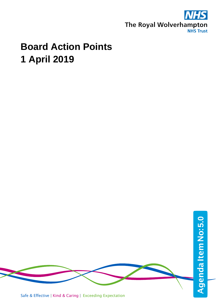

## **Board Action Points 1 April 2019**

Safe & Effective | Kind & Caring | Exceeding Expectation AgendaItemNo: